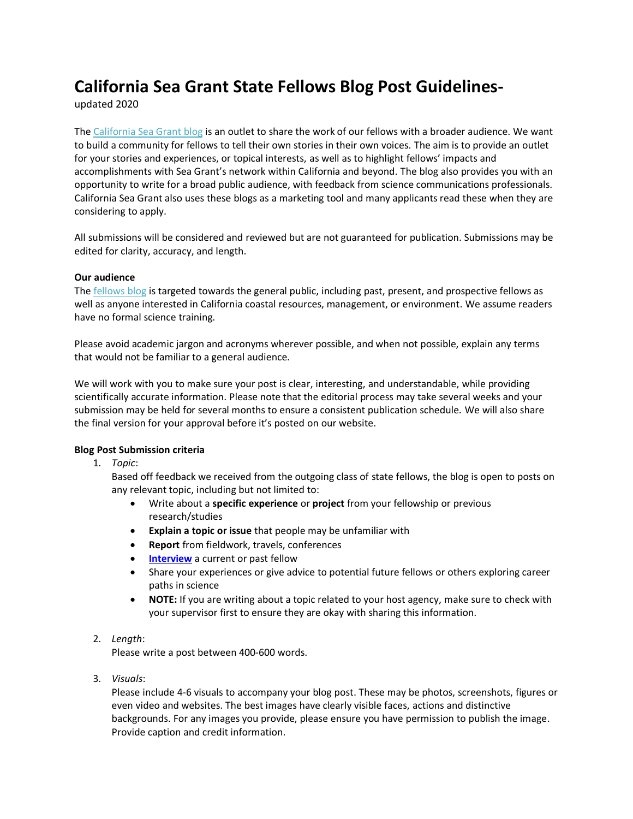# **California Sea Grant State Fellows Blog Post Guidelines-**

updated 2020

Th[e California Sea Grant blog](https://caseagrant.ucsd.edu/blogs/fellow) is an outlet to share the work of our fellows with a broader audience. We want to build a community for fellows to tell their own stories in their own voices. The aim is to provide an outlet for your stories and experiences, or topical interests, as well as to highlight fellows' impacts and accomplishments with Sea Grant's network within California and beyond. The blog also provides you with an opportunity to write for a broad public audience, with feedback from science communications professionals. California Sea Grant also uses these blogs as a marketing tool and many applicants read these when they are considering to apply.

All submissions will be considered and reviewed but are not guaranteed for publication. Submissions may be edited for clarity, accuracy, and length.

# **Our audience**

Th[e fellows blog](https://caseagrant.ucsd.edu/blogs/fellow) is targeted towards the general public, including past, present, and prospective fellows as well as anyone interested in California coastal resources, management, or environment. We assume readers have no formal science training.

Please avoid academic jargon and acronyms wherever possible, and when not possible, explain any terms that would not be familiar to a general audience.

We will work with you to make sure your post is clear, interesting, and understandable, while providing scientifically accurate information. Please note that the editorial process may take several weeks and your submission may be held for several months to ensure a consistent publication schedule. We will also share the final version for your approval before it's posted on our website.

# **Blog Post Submission criteria**

1. *Topic*:

Based off feedback we received from the outgoing class of state fellows, the blog is open to posts on any relevant topic, including but not limited to:

- Write about a **specific experience** or **project** from your fellowship or previous research/studies
- **Explain a topic or issue** that people may be unfamiliar with
- **Report** from fieldwork, travels, conferences
- **[Interview](https://caseagrant.ucsd.edu/blogs/from-fellows-to-femtors-a-qa-with-kelly-malinowski-and-evyan-sloane)** a current or past fellow
- Share your experiences or give advice to potential future fellows or others exploring career paths in science
- **NOTE:** If you are writing about a topic related to your host agency, make sure to check with your supervisor first to ensure they are okay with sharing this information.

# 2. *Length*:

Please write a post between 400-600 words.

3. *Visuals*:

Please include 4-6 visuals to accompany your blog post. These may be photos, screenshots, figures or even video and websites. The best images have clearly visible faces, actions and distinctive backgrounds. For any images you provide, please ensure you have permission to publish the image. Provide caption and credit information.